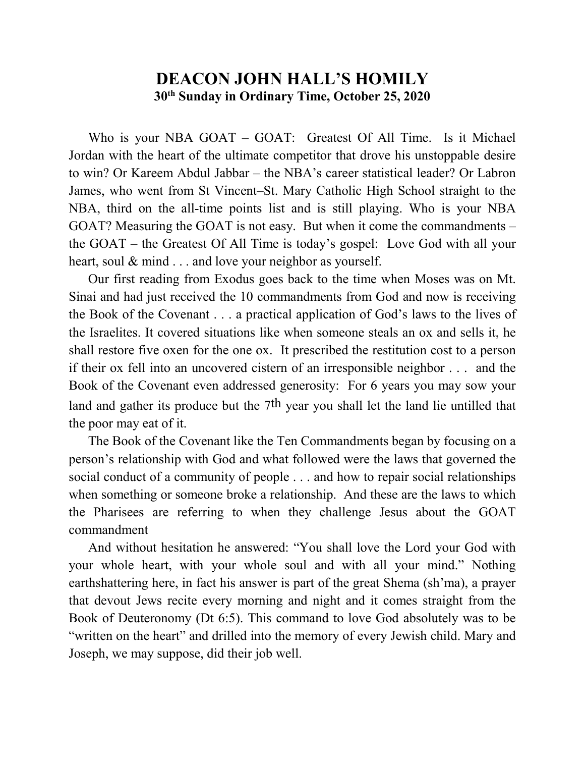## **DEACON JOHN HALL'S HOMILY 30th Sunday in Ordinary Time, October 25, 2020**

Who is your NBA GOAT – GOAT: Greatest Of All Time. Is it Michael Jordan with the heart of the ultimate competitor that drove his unstoppable desire to win? Or Kareem Abdul Jabbar – the NBA's career statistical leader? Or Labron James, who went from St Vincent–St. Mary Catholic High School straight to the NBA, third on the all-time points list and is still playing. Who is your NBA GOAT? Measuring the GOAT is not easy. But when it come the commandments – the GOAT – the Greatest Of All Time is today's gospel: Love God with all your heart, soul & mind . . . and love your neighbor as yourself.

 Our first reading from Exodus goes back to the time when Moses was on Mt. Sinai and had just received the 10 commandments from God and now is receiving the Book of the Covenant . . . a practical application of God's laws to the lives of the Israelites. It covered situations like when someone steals an ox and sells it, he shall restore five oxen for the one ox. It prescribed the restitution cost to a person if their ox fell into an uncovered cistern of an irresponsible neighbor . . . and the Book of the Covenant even addressed generosity: For 6 years you may sow your land and gather its produce but the 7<sup>th</sup> year you shall let the land lie untilled that the poor may eat of it.

 The Book of the Covenant like the Ten Commandments began by focusing on a person's relationship with God and what followed were the laws that governed the social conduct of a community of people . . . and how to repair social relationships when something or someone broke a relationship. And these are the laws to which the Pharisees are referring to when they challenge Jesus about the GOAT commandment

 And without hesitation he answered: "You shall love the Lord your God with your whole heart, with your whole soul and with all your mind." Nothing earthshattering here, in fact his answer is part of the great Shema (sh'ma), a prayer that devout Jews recite every morning and night and it comes straight from the Book of Deuteronomy (Dt 6:5). This command to love God absolutely was to be "written on the heart" and drilled into the memory of every Jewish child. Mary and Joseph, we may suppose, did their job well.